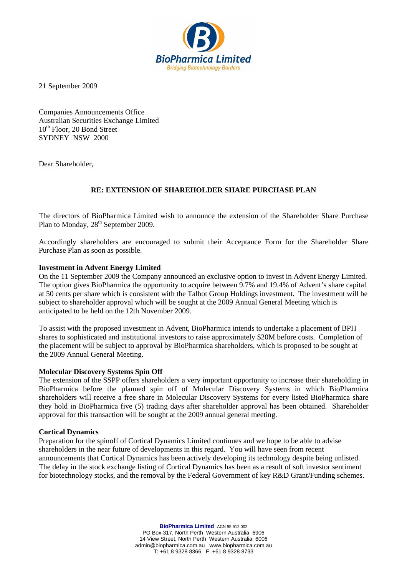

21 September 2009

Companies Announcements Office Australian Securities Exchange Limited  $10^{th}$  Floor, 20 Bond Street SYDNEY NSW 2000

Dear Shareholder,

## **RE: EXTENSION OF SHAREHOLDER SHARE PURCHASE PLAN**

The directors of BioPharmica Limited wish to announce the extension of the Shareholder Share Purchase Plan to Monday,  $28<sup>th</sup>$  September 2009.

Accordingly shareholders are encouraged to submit their Acceptance Form for the Shareholder Share Purchase Plan as soon as possible.

## **Investment in Advent Energy Limited**

On the 11 September 2009 the Company announced an exclusive option to invest in Advent Energy Limited. The option gives BioPharmica the opportunity to acquire between 9.7% and 19.4% of Advent's share capital at 50 cents per share which is consistent with the Talbot Group Holdings investment. The investment will be subject to shareholder approval which will be sought at the 2009 Annual General Meeting which is anticipated to be held on the 12th November 2009.

To assist with the proposed investment in Advent, BioPharmica intends to undertake a placement of BPH shares to sophisticated and institutional investors to raise approximately \$20M before costs. Completion of the placement will be subject to approval by BioPharmica shareholders, which is proposed to be sought at the 2009 Annual General Meeting.

## **Molecular Discovery Systems Spin Off**

The extension of the SSPP offers shareholders a very important opportunity to increase their shareholding in BioPharmica before the planned spin off of Molecular Discovery Systems in which BioPharmica shareholders will receive a free share in Molecular Discovery Systems for every listed BioPharmica share they hold in BioPharmica five (5) trading days after shareholder approval has been obtained. Shareholder approval for this transaction will be sought at the 2009 annual general meeting.

## **Cortical Dynamics**

Preparation for the spinoff of Cortical Dynamics Limited continues and we hope to be able to advise shareholders in the near future of developments in this regard. You will have seen from recent announcements that Cortical Dynamics has been actively developing its technology despite being unlisted. The delay in the stock exchange listing of Cortical Dynamics has been as a result of soft investor sentiment for biotechnology stocks, and the removal by the Federal Government of key R&D Grant/Funding schemes.

> **BioPharmica Limited** ACN 95 912 002 PO Box 317, North Perth Western Australia 6906 14 View Street, North Perth Western Australia 6006 admin@biopharmica.com.au www.biopharmica.com.au T: +61 8 9328 8366 F: +61 8 9328 8733